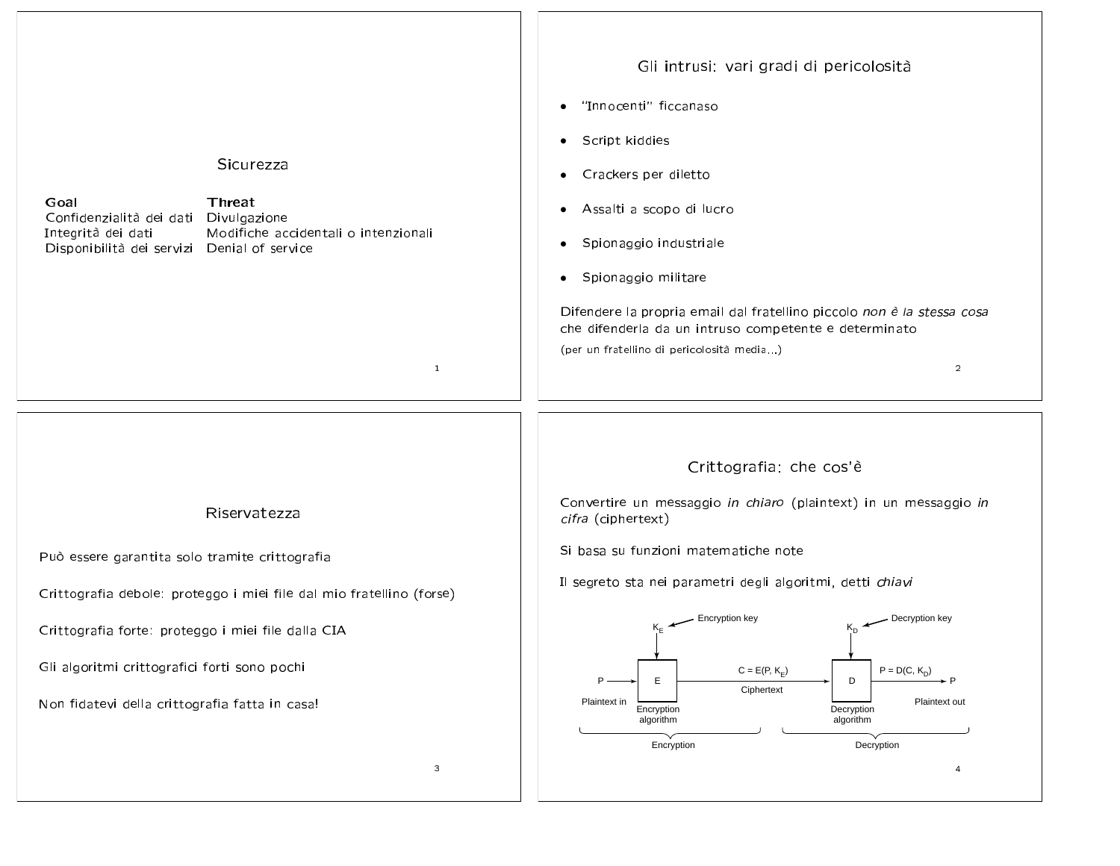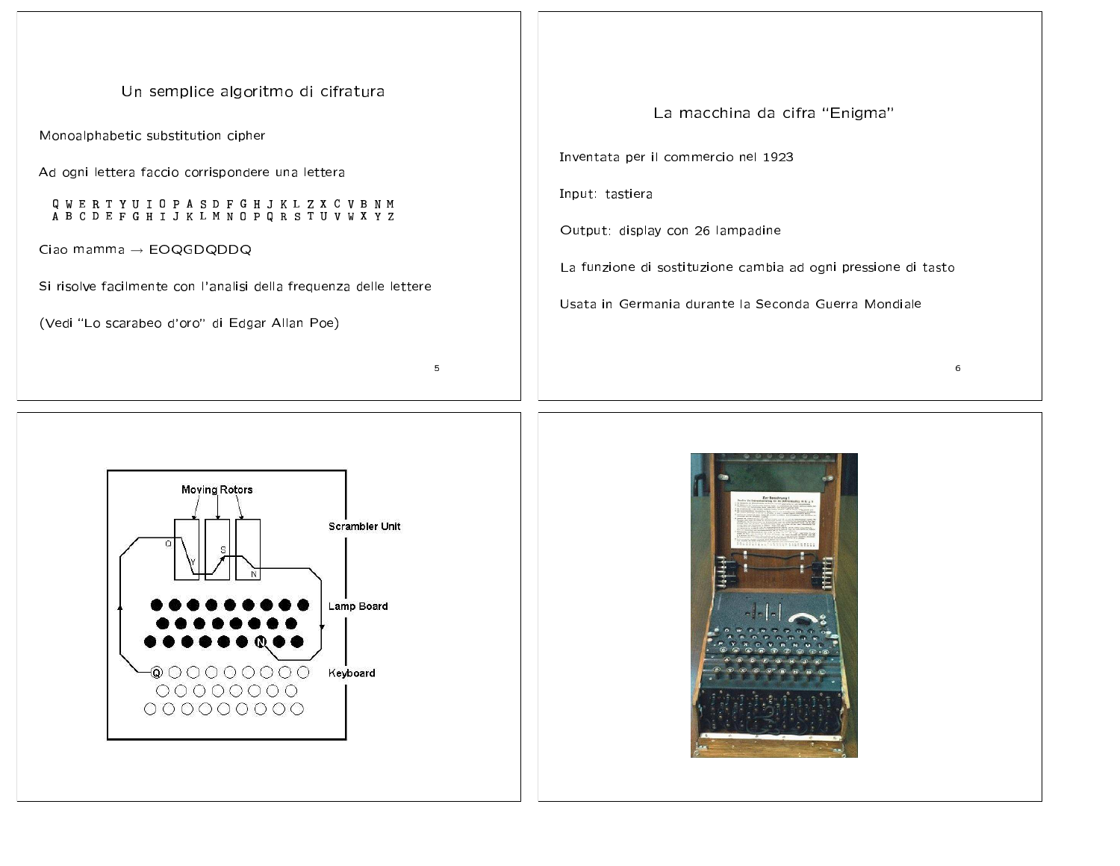Un semplice algoritmo di cifratura

Monoalphabetic substitution cipher

Ad ogni lettera faccio corrispondere una lettera

Q W E R T Y U I O P A S D F G H J K L Z X C V B N M<br>A B C D E F G H I J K L M N O P Q R S T U V W X Y Z

Ciao mamma  $\rightarrow$  EOQGDQDDQ

Si risolve facilmente con l'analisi della frequenza delle lettere

(Vedi "Lo scarabeo d'oro" di Edgar Allan Poe)

**Moving Rotors** Scrambler Unit Lamp Board Keyboard 000000000

 $\overline{5}$ 

La macchina da cifra "Enigma" Inventata per il commercio nel 1923 Input: tastiera Output: display con 26 lampadine La funzione di sostituzione cambia ad ogni pressione di tasto Usata in Germania durante la Seconda Guerra Mondiale



6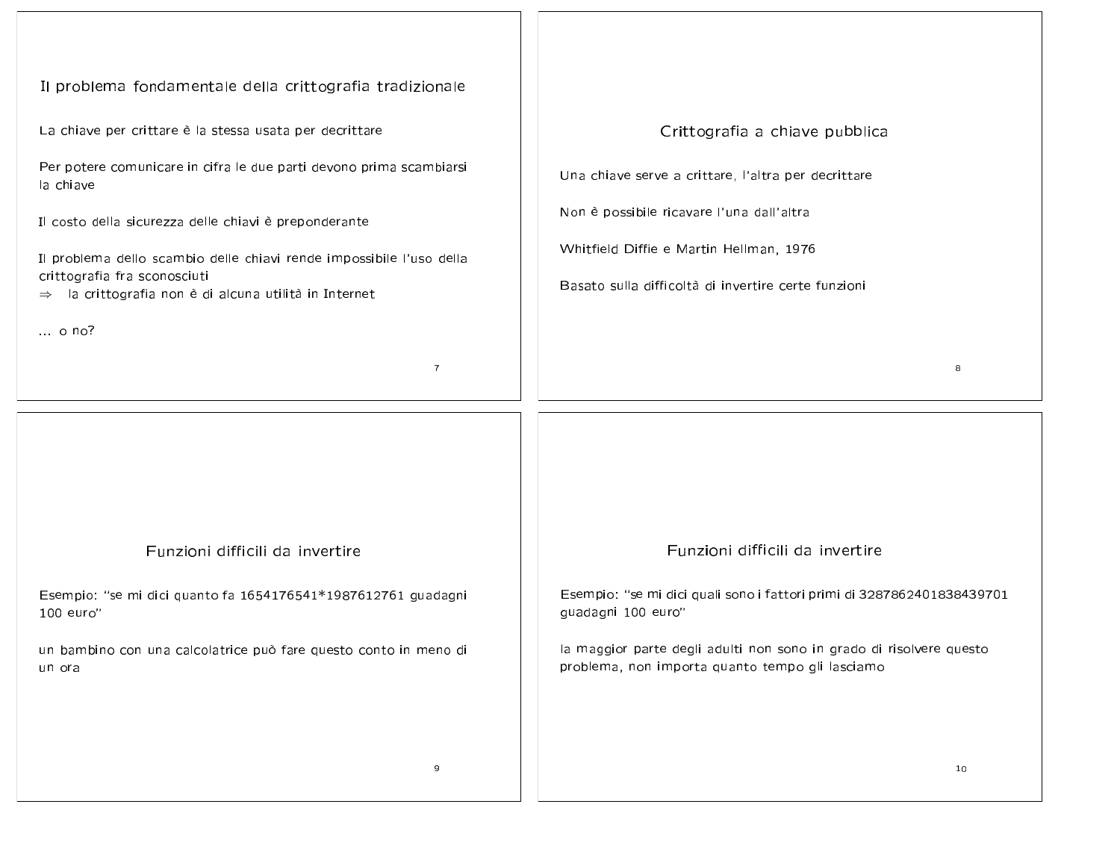| Il problema fondamentale della crittografia tradizionale                                                                                                                                                                                                                                                                                                                                            |                                                                                                                                                                                                                                      |
|-----------------------------------------------------------------------------------------------------------------------------------------------------------------------------------------------------------------------------------------------------------------------------------------------------------------------------------------------------------------------------------------------------|--------------------------------------------------------------------------------------------------------------------------------------------------------------------------------------------------------------------------------------|
| La chiave per crittare è la stessa usata per decrittare<br>Per potere comunicare in cifra le due parti devono prima scambiarsi<br>la chiave<br>Il costo della sicurezza delle chiavi è preponderante<br>Il problema dello scambio delle chiavi rende impossibile l'uso della<br>crittografia fra sconosciuti<br>$\Rightarrow$ la crittografia non è di alcuna utilità in Internet<br>$\ldots$ o no? | Crittografia a chiave pubblica<br>Una chiave serve a crittare, l'altra per decrittare<br>Non è possibile ricavare l'una dall'altra<br>Whitfield Diffie e Martin Hellman, 1976<br>Basato sulla difficoltà di invertire certe funzioni |
| $\overline{7}$                                                                                                                                                                                                                                                                                                                                                                                      | 8                                                                                                                                                                                                                                    |
|                                                                                                                                                                                                                                                                                                                                                                                                     |                                                                                                                                                                                                                                      |
| Funzioni difficili da invertire                                                                                                                                                                                                                                                                                                                                                                     | Funzioni difficili da invertire                                                                                                                                                                                                      |
| Esempio: "se mi dici quanto fa 1654176541*1987612761 guadagni<br>100 euro"                                                                                                                                                                                                                                                                                                                          | Esempio: "se mi dici quali sono i fattori primi di 3287862401838439701<br>guadagni 100 euro"                                                                                                                                         |
| un bambino con una calcolatrice può fare questo conto in meno di<br>un ora                                                                                                                                                                                                                                                                                                                          | la maggior parte degli adulti non sono in grado di risolvere questo<br>problema, non importa quanto tempo gli lasciamo                                                                                                               |
| 9                                                                                                                                                                                                                                                                                                                                                                                                   | 10                                                                                                                                                                                                                                   |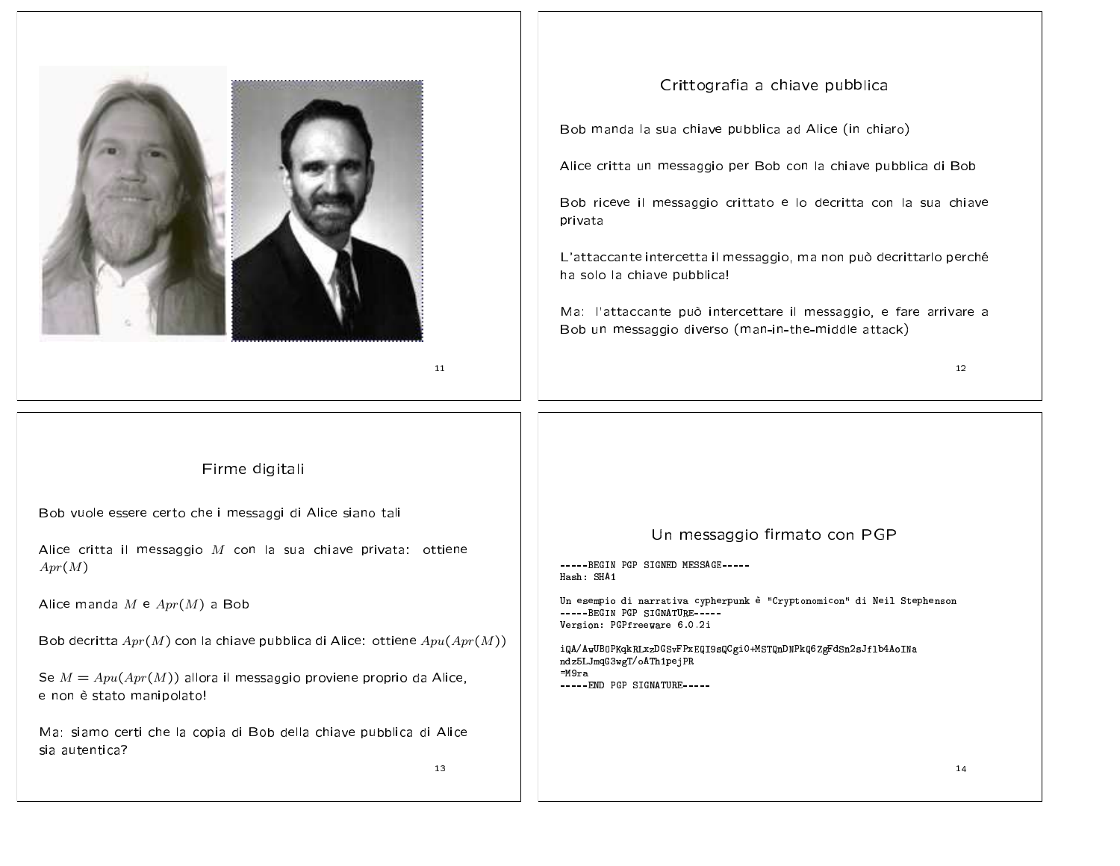

 $11$ 

## Firme digitali

Bob vuole essere certo che i messaggi di Alice siano tali

Alice critta il messaggio  $M$  con la sua chiave privata: ottiene  $Apr(M)$ 

Alice manda  $M \in Apr(M)$  a Bob

Bob decritta  $Apr(M)$  con la chiave pubblica di Alice: ottiene  $Apu(Apr(M))$ 

Se  $M = Apu(Apr(M))$  allora il messaggio proviene proprio da Alice, e non è stato manipolato!

Ma: siamo certi che la copia di Bob della chiave pubblica di Alice sia autentica?

13

## Crittografia a chiave pubblica

Bob manda la sua chiave pubblica ad Alice (in chiaro)

Alice critta un messaggio per Bob con la chiave pubblica di Bob

Bob riceve il messaggio crittato e lo decritta con la sua chiave privata

L'attaccante intercetta il messaggio, ma non può decrittarlo perché ha solo la chiave pubblica!

Ma: l'attaccante può intercettare il messaggio, e fare arrivare a Bob un messaggio diverso (man-in-the-middle attack)

 $12$ 

## Un messaggio firmato con PGP

----- BEGIN PGP SIGNED MESSAGE-----Hash: SHA1

Un esempio di narrativa cypherpunk è "Cryptonomicon" di Neil Stephenson -----BEGIN PGP SIGNATURE-----Version: PGPfreeware 6.0.2i

iQA/AwUBOPKqkRLxzDGSvFPxEQI9sQCgi0+MSTQnDNPkQ6ZgFdSn2sJf1b4AoINa ndz5LJmqG3wgT/oATh1pejPR  $=M9ra$ -----END PGP SIGNATURE-----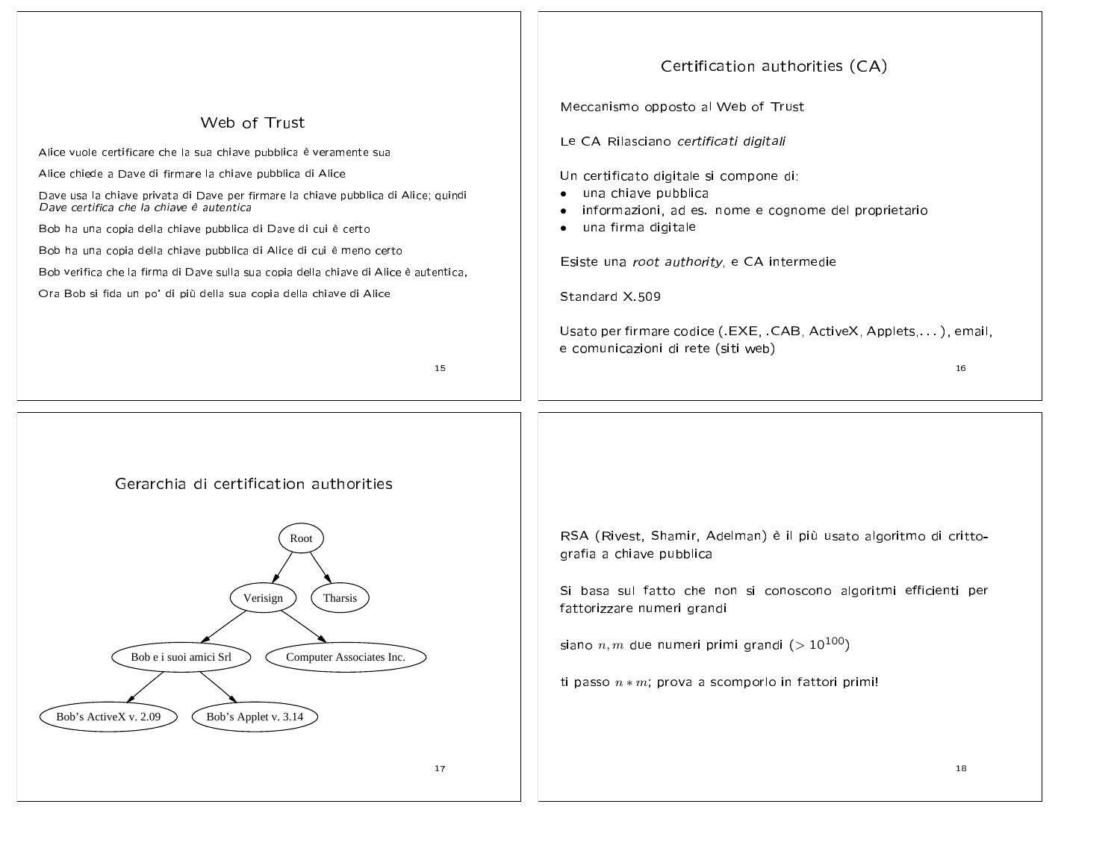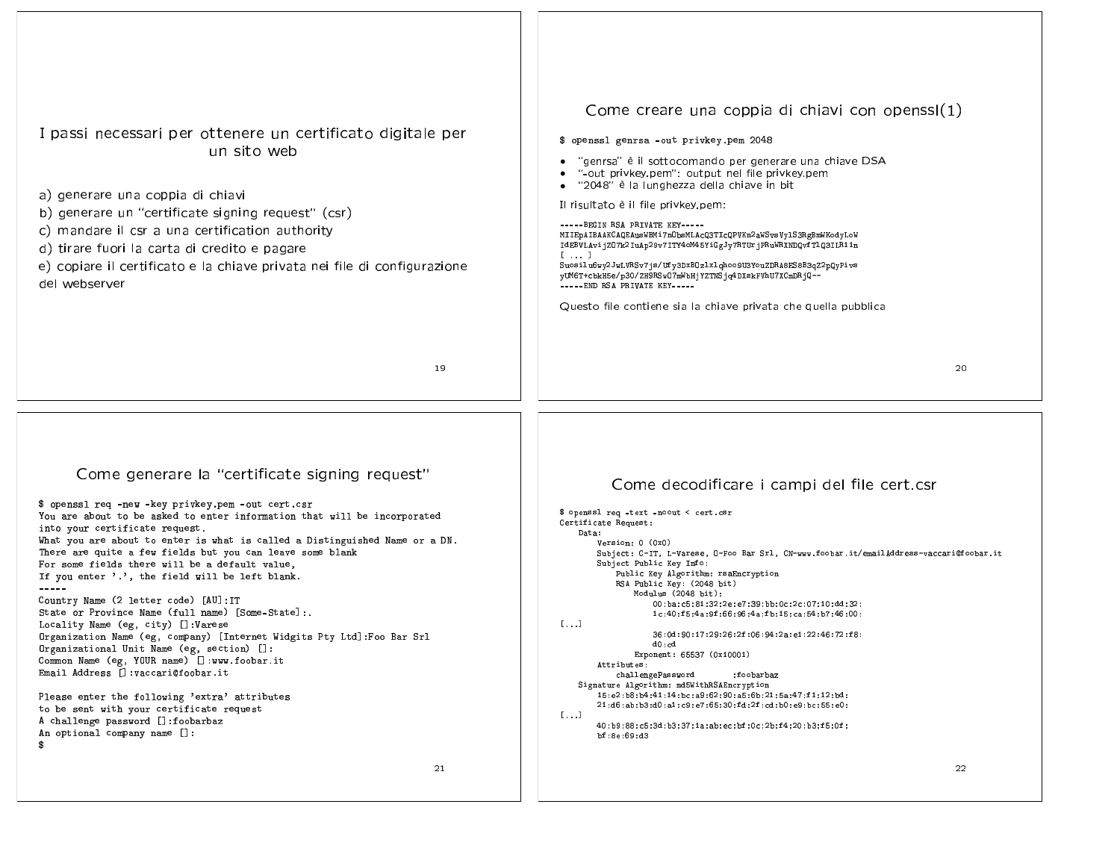